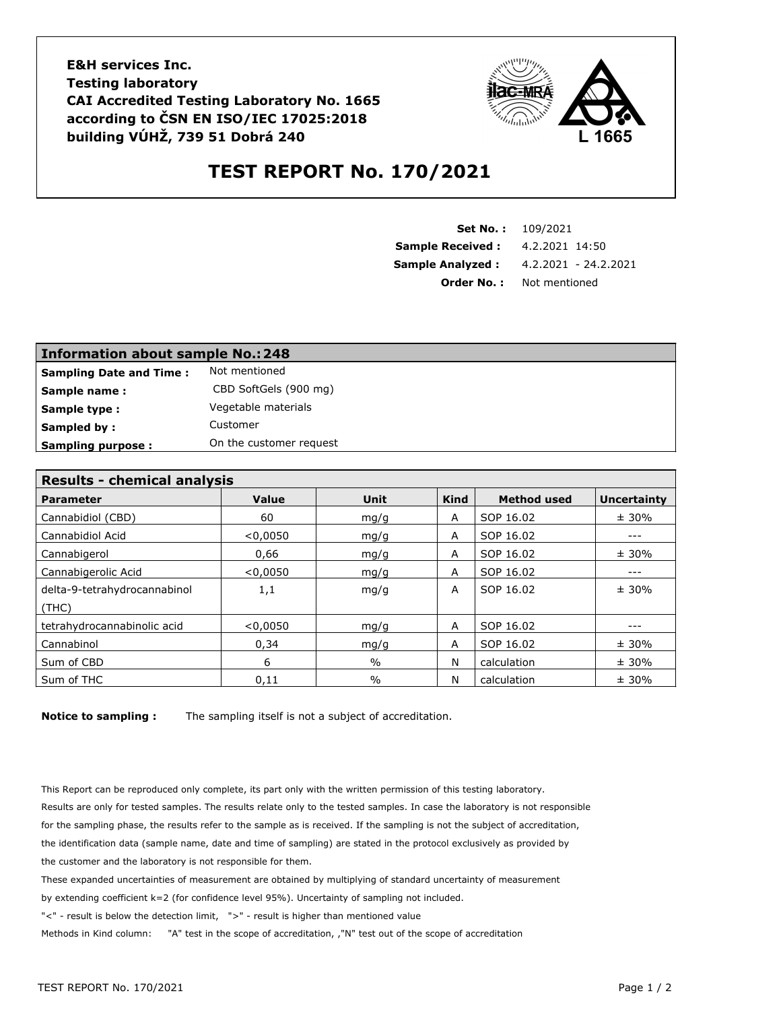**E&H services Inc. Testing laboratory CAI Accredited Testing Laboratory No. 1665 according to ČSN EN ISO/IEC 17025:2018 building VÚHŽ, 739 51 Dobrá 240**



## **TEST REPORT No. 170/2021**

| <b>Set No.: 109/2021</b> |                      |  |
|--------------------------|----------------------|--|
| <b>Sample Received:</b>  | 4.2.2021 14:50       |  |
| <b>Sample Analyzed:</b>  | 4.2.2021 - 24.2.2021 |  |
| Order No. :              | Not mentioned        |  |

| Information about sample No.: 248 |                         |  |  |  |
|-----------------------------------|-------------------------|--|--|--|
| <b>Sampling Date and Time:</b>    | Not mentioned           |  |  |  |
| Sample name:                      | CBD SoftGels (900 mg)   |  |  |  |
| Sample type:                      | Vegetable materials     |  |  |  |
| Sampled by:                       | Customer                |  |  |  |
| <b>Sampling purpose:</b>          | On the customer request |  |  |  |

| <b>Results - chemical analysis</b> |          |               |             |                    |                    |  |  |
|------------------------------------|----------|---------------|-------------|--------------------|--------------------|--|--|
| <b>Parameter</b>                   | Value    | <b>Unit</b>   | <b>Kind</b> | <b>Method used</b> | <b>Uncertainty</b> |  |  |
| Cannabidiol (CBD)                  | 60       | mg/g          | A           | SOP 16.02          | ± 30%              |  |  |
| Cannabidiol Acid                   | < 0,0050 | mg/g          | A           | SOP 16.02          | $- - -$            |  |  |
| Cannabigerol                       | 0.66     | mq/q          | A           | SOP 16.02          | $± 30\%$           |  |  |
| Cannabigerolic Acid                | < 0.0050 | mg/g          | A           | SOP 16.02          | $- - -$            |  |  |
| delta-9-tetrahydrocannabinol       | 1,1      | mq/q          | A           | SOP 16.02          | ± 30%              |  |  |
| (THE)                              |          |               |             |                    |                    |  |  |
| tetrahydrocannabinolic acid        | < 0,0050 | mq/q          | A           | SOP 16.02          |                    |  |  |
| Cannabinol                         | 0,34     | mq/q          | A           | SOP 16.02          | ± 30%              |  |  |
| Sum of CBD                         | 6        | $\frac{0}{0}$ | N           | calculation        | ± 30%              |  |  |
| Sum of THC                         | 0,11     | $\frac{0}{0}$ | N           | calculation        | ± 30%              |  |  |

**Notice to sampling :** The sampling itself is not a subject of accreditation.

This Report can be reproduced only complete, its part only with the written permission of this testing laboratory. Results are only for tested samples. The results relate only to the tested samples. In case the laboratory is not responsible for the sampling phase, the results refer to the sample as is received. If the sampling is not the subject of accreditation, the identification data (sample name, date and time of sampling) are stated in the protocol exclusively as provided by the customer and the laboratory is not responsible for them.

These expanded uncertainties of measurement are obtained by multiplying of standard uncertainty of measurement

by extending coefficient k=2 (for confidence level 95%). Uncertainty of sampling not included.

"<" - result is below the detection limit, ">" - result is higher than mentioned value

Methods in Kind column: "A" test in the scope of accreditation, ,"N" test out of the scope of accreditation